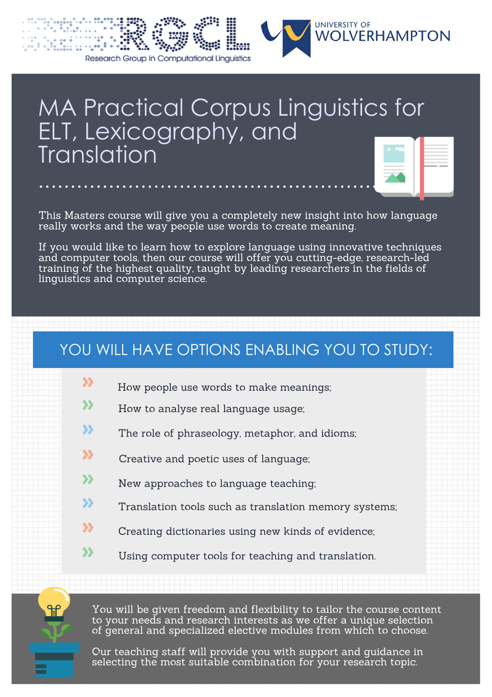

# MA Practical Corpus Linguistics for ELT, Lexicography, and **Translation**

This Masters course will give you a completely new insight into how language really works and the way people use words to create meaning.

If you would like to learn how to explore language using innovative techniques and computer tools, then our course will offer you cutting-edge, research-led training of the highest quality, taught by leading researchers in the fields of linguistics and computer science.

### YOU WILL HAVE OPTIONS ENABLING YOU TO STUDY:

- How people use words to make meanings; **»**
- How to analyse real language usage; **»**
- The role of phraseology, metaphor, and idioms; **»**
- Creative and poetic uses of language; **»**
- New approaches to language teaching; **»**
- Translation tools such as translation memory systems; **»**
- Creating dictionaries using new kinds of evidence; **»**
- Using computer tools for teaching and translation. **»**

You will be given freedom and flexibility to tailor the course content to your needs and research interests as we offer a unique selection of general and specialized elective modules from which to choose.

Our teaching staff will provide you with support and guidance in selecting the most suitable combination for your research topic.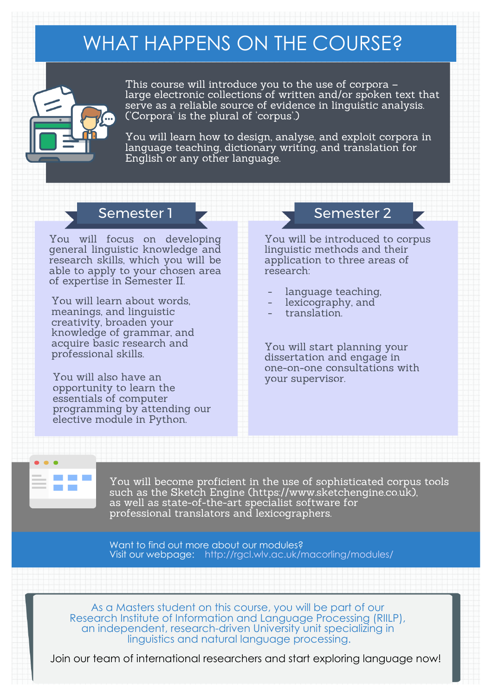### WHAT HAPPENS ON THE COURSE?



This course will introduce you to the use of corpora – large electronic collections of written and/or spoken text that serve as a reliable source of evidence in linguistic analysis. ('Corpora' is the plural of 'corpus'.)

You will learn how to design, analyse, and exploit corpora in language teaching, dictionary writing, and translation for English or any other language.

You will focus on developing general linguistic knowledge and research skills, which you will be able to apply to your chosen area of expertise in Semester II.

You will learn about words, meanings, and linguistic creativity, broaden your knowledge of grammar, and acquire basic research and professional skills.

You will also have an opportunity to learn the essentials of computer programming by attending our elective module in Python.

### Semester 1 **Semester 2** Semester 2

You will be introduced to corpus linguistic methods and their application to three areas of research:

- language teaching,
- lexicography, and
- translation.

You will start planning your dissertation and engage in one-on-one consultations with your supervisor.

You will become proficient in the use of sophisticated corpus tools such as the Sketch Engine (https://www.sketchengine.co.uk), as well as state-of-the-art specialist software for professional translators and lexicographers.

Want to find out more about our modules? Visit our webpage: http://rgcl.wlv.ac.uk/macorling/modules/

As a Masters student on this course, you will be part of our Research Institute of Information and Language Processing (RIILP), an independent, research-driven University unit specializing in linguistics and natural language processing.

Join our team of international researchers and start exploring language now!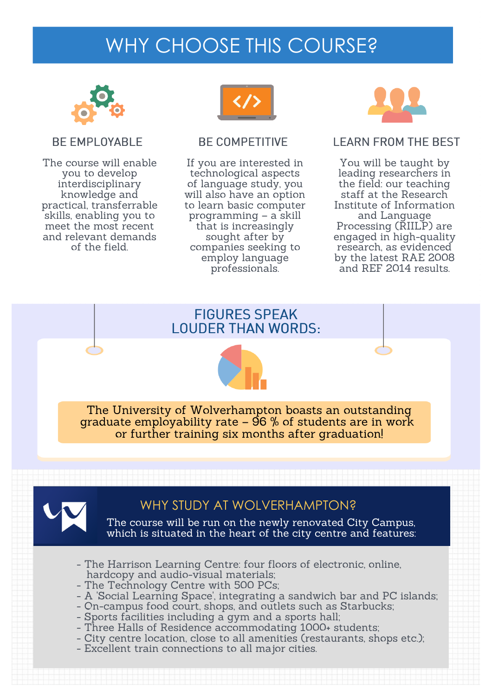### WHY CHOOSE THIS COURSE?



#### BE EMPLOYABLE

The course will enable you to develop interdisciplinary knowledge and practical, transferrable skills, enabling you to meet the most recent and relevant demands of the field.



#### BE COMPETITIVE

If you are interested in technological aspects of language study, you will also have an option to learn basic computer programming – a skill that is increasingly sought after by companies seeking to employ language professionals.



#### LEARN FROM THE BEST

You will be taught by leading researchers in the field: our teaching staff at the Research Institute of Information and Language Processing (RIILP) are engaged in high-quality research, as evidenced by the latest RAE 2008 and REF 2014 results.





The University of Wolverhampton boasts an outstanding graduate employability rate –  $96\%$  of students are in work or further training six months after graduation!



#### WHY STUDY AT WOLVERHAMPTON?

The course will be run on the newly renovated City Campus, which is situated in the heart of the city centre and features:

- The Harrison Learning Centre: four floors of electronic, online, hardcopy and audio-visual materials;
- The Technology Centre with 500 PCs;
- A 'Social Learning Space', integrating a sandwich bar and PC islands;
- On-campus food court, shops, and outlets such as Starbucks;
- Sports facilities including a gym and a sports hall;
- Three Halls of Residence accommodating 1000+ students;
- City centre location, close to all amenities (restaurants, shops etc.);
- Excellent train connections to all major cities.